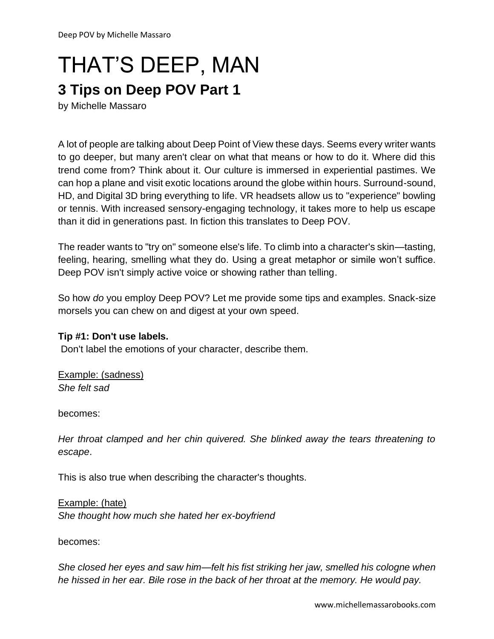# THAT'S DEEP, MAN

### **3 Tips on Deep POV Part 1**

by Michelle Massaro

A lot of people are talking about Deep Point of View these days. Seems every writer wants to go deeper, but many aren't clear on what that means or how to do it. Where did this trend come from? Think about it. Our culture is immersed in experiential pastimes. We can hop a plane and visit exotic locations around the globe within hours. Surround-sound, HD, and Digital 3D bring everything to life. VR headsets allow us to "experience" bowling or tennis. With increased sensory-engaging technology, it takes more to help us escape than it did in generations past. In fiction this translates to Deep POV.

The reader wants to "try on" someone else's life. To climb into a character's skin—tasting, feeling, hearing, smelling what they do. Using a great metaphor or simile won't suffice. Deep POV isn't simply active voice or showing rather than telling.

So how *do* you employ Deep POV? Let me provide some tips and examples. Snack-size morsels you can chew on and digest at your own speed.

#### **Tip #1: Don't use labels.**

Don't label the emotions of your character, describe them.

Example: (sadness) *She felt sad*

becomes:

*Her throat clamped and her chin quivered. She blinked away the tears threatening to escape*.

This is also true when describing the character's thoughts.

Example: (hate) *She thought how much she hated her ex-boyfriend*

becomes:

*She closed her eyes and saw him—felt his fist striking her jaw, smelled his cologne when he hissed in her ear. Bile rose in the back of her throat at the memory. He would pay.*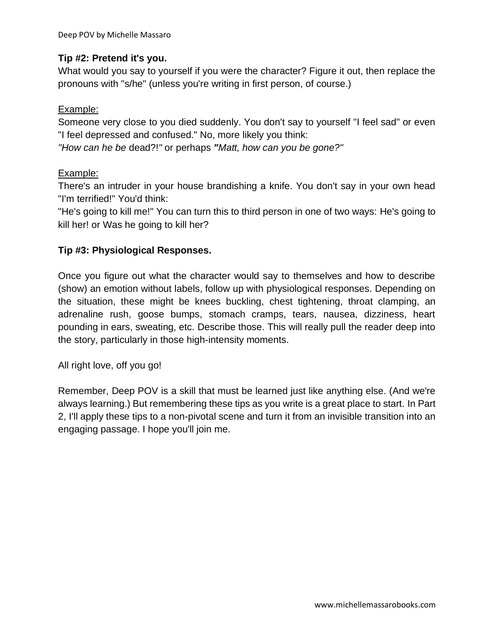#### **Tip #2: Pretend it's you.**

What would you say to yourself if you were the character? Figure it out, then replace the pronouns with "s/he" (unless you're writing in first person, of course.)

#### Example:

Someone very close to you died suddenly. You don't say to yourself "I feel sad" or even "I feel depressed and confused." No, more likely you think:

*"How can he be* dead?!*"* or perhaps *"Matt, how can you be gone?"*

#### Example:

There's an intruder in your house brandishing a knife. You don't say in your own head "I'm terrified!" You'd think:

"He's going to kill me!" You can turn this to third person in one of two ways: He's going to kill her! or Was he going to kill her?

#### **Tip #3: Physiological Responses.**

Once you figure out what the character would say to themselves and how to describe (show) an emotion without labels, follow up with physiological responses. Depending on the situation, these might be knees buckling, chest tightening, throat clamping, an adrenaline rush, goose bumps, stomach cramps, tears, nausea, dizziness, heart pounding in ears, sweating, etc. Describe those. This will really pull the reader deep into the story, particularly in those high-intensity moments.

All right love, off you go!

Remember, Deep POV is a skill that must be learned just like anything else. (And we're always learning.) But remembering these tips as you write is a great place to start. In Part 2, I'll apply these tips to a non-pivotal scene and turn it from an invisible transition into an engaging passage. I hope you'll join me.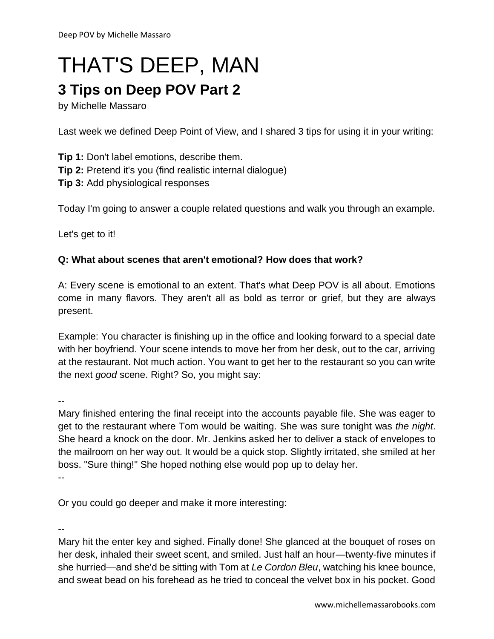## THAT'S DEEP, MAN

## **3 Tips on Deep POV Part 2**

by Michelle Massaro

Last week we defined Deep Point of View, and I shared 3 tips for using it in your writing:

**Tip 1:** Don't label emotions, describe them. **Tip 2:** Pretend it's you (find realistic internal dialogue) **Tip 3:** Add physiological responses

Today I'm going to answer a couple related questions and walk you through an example.

Let's get to it!

#### **Q: What about scenes that aren't emotional? How does that work?**

A: Every scene is emotional to an extent. That's what Deep POV is all about. Emotions come in many flavors. They aren't all as bold as terror or grief, but they are always present.

Example: You character is finishing up in the office and looking forward to a special date with her boyfriend. Your scene intends to move her from her desk, out to the car, arriving at the restaurant. Not much action. You want to get her to the restaurant so you can write the next *good* scene. Right? So, you might say:

--

Mary finished entering the final receipt into the accounts payable file. She was eager to get to the restaurant where Tom would be waiting. She was sure tonight was *the night*. She heard a knock on the door. Mr. Jenkins asked her to deliver a stack of envelopes to the mailroom on her way out. It would be a quick stop. Slightly irritated, she smiled at her boss. "Sure thing!" She hoped nothing else would pop up to delay her. --

Or you could go deeper and make it more interesting:

--

Mary hit the enter key and sighed. Finally done! She glanced at the bouquet of roses on her desk, inhaled their sweet scent, and smiled. Just half an hour—twenty-five minutes if she hurried—and she'd be sitting with Tom at *Le Cordon Bleu*, watching his knee bounce, and sweat bead on his forehead as he tried to conceal the velvet box in his pocket. Good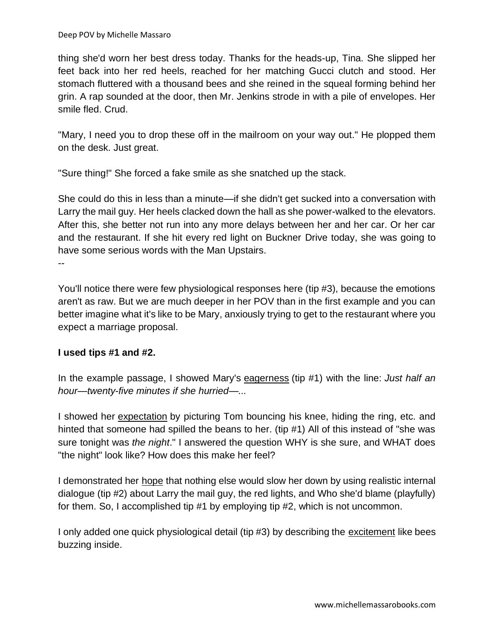thing she'd worn her best dress today. Thanks for the heads-up, Tina. She slipped her feet back into her red heels, reached for her matching Gucci clutch and stood. Her stomach fluttered with a thousand bees and she reined in the squeal forming behind her grin. A rap sounded at the door, then Mr. Jenkins strode in with a pile of envelopes. Her smile fled. Crud.

"Mary, I need you to drop these off in the mailroom on your way out." He plopped them on the desk. Just great.

"Sure thing!" She forced a fake smile as she snatched up the stack.

She could do this in less than a minute—if she didn't get sucked into a conversation with Larry the mail guy. Her heels clacked down the hall as she power-walked to the elevators. After this, she better not run into any more delays between her and her car. Or her car and the restaurant. If she hit every red light on Buckner Drive today, she was going to have some serious words with the Man Upstairs.

--

You'll notice there were few physiological responses here (tip #3), because the emotions aren't as raw. But we are much deeper in her POV than in the first example and you can better imagine what it's like to be Mary, anxiously trying to get to the restaurant where you expect a marriage proposal.

#### **I used tips #1 and #2.**

In the example passage, I showed Mary's eagerness (tip #1) with the line: *Just half an hour—twenty-five minutes if she hurried—...*

I showed her expectation by picturing Tom bouncing his knee, hiding the ring, etc. and hinted that someone had spilled the beans to her. (tip #1) All of this instead of "she was sure tonight was *the night*." I answered the question WHY is she sure, and WHAT does "the night" look like? How does this make her feel?

I demonstrated her hope that nothing else would slow her down by using realistic internal dialogue (tip #2) about Larry the mail guy, the red lights, and Who she'd blame (playfully) for them. So, I accomplished tip #1 by employing tip #2, which is not uncommon.

I only added one quick physiological detail (tip #3) by describing the excitement like bees buzzing inside.